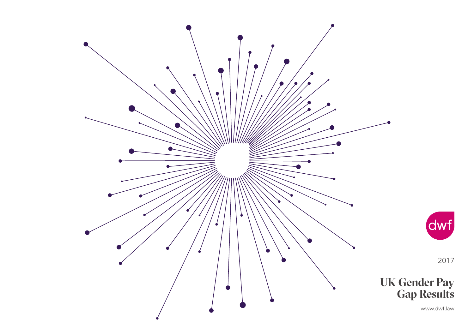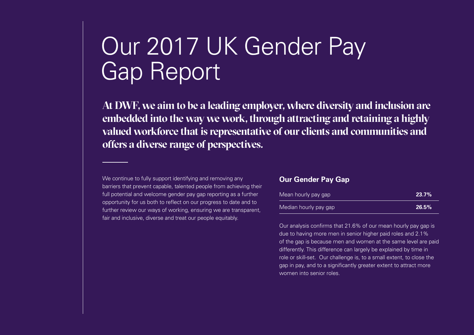## Our 2017 UK Gender Pay Gap Report

**At DWF, we aim to be a leading employer, where diversity and inclusion are embedded into the way we work, through attracting and retaining a highly valued workforce that is representative of our clients and communities and offers a diverse range of perspectives.**

We continue to fully support identifying and removing any barriers that prevent capable, talented people from achieving their full potential and welcome gender pay gap reporting as a further opportunity for us both to reflect on our progress to date and to further review our ways of working, ensuring we are transparent, fair and inclusive, diverse and treat our people equitably.

#### **Our Gender Pay Gap**

| Mean hourly pay gap   | 23.7% |
|-----------------------|-------|
| Median hourly pay gap | 26.5% |

Our analysis confirms that 21.6% of our mean hourly pay gap is due to having more men in senior higher paid roles and 2.1% of the gap is because men and women at the same level are paid differently. This difference can largely be explained by time in role or skill-set. Our challenge is, to a small extent, to close the gap in pay, and to a significantly greater extent to attract more women into senior roles.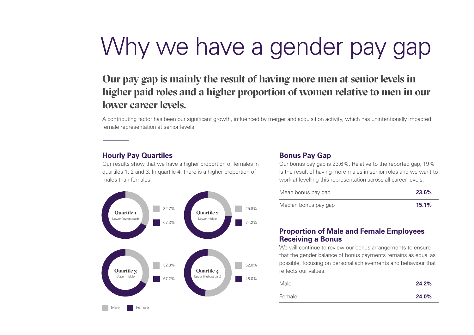# Why we have a gender pay gap

### **Our pay gap is mainly the result of having more men at senior levels in higher paid roles and a higher proportion of women relative to men in our lower career levels.**

A contributing factor has been our significant growth, influenced by merger and acquisition activity, which has unintentionally impacted female representation at senior levels.

#### **Hourly Pay Quartiles**

Our results show that we have a higher proportion of females in quartiles 1, 2 and 3. In quartile 4, there is a higher proportion of males than females.



#### **Bonus Pay Gap**

Our bonus pay gap is 23.6%. Relative to the reported gap, 19% is the result of having more males in senior roles and we want to work at levelling this representation across all career levels.

| Mean bonus pay gap   | 23.6%    |
|----------------------|----------|
| Median bonus pay gap | $15.1\%$ |

#### **Proportion of Male and Female Employees Receiving a Bonus**

We will continue to review our bonus arrangements to ensure that the gender balance of bonus payments remains as equal as possible, focusing on personal achievements and behaviour that reflects our values.

| Male   | 24.2% |
|--------|-------|
| Female | 24.0% |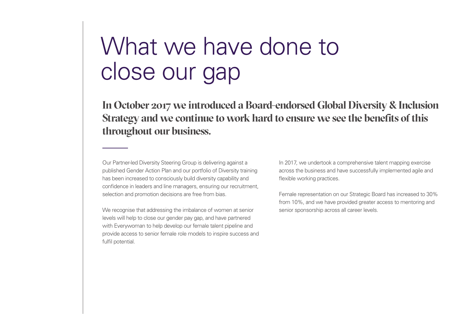## What we have done to close our gap

**In October 2017 we introduced a Board-endorsed Global Diversity & Inclusion Strategy and we continue to work hard to ensure we see the benefits of this throughout our business.**

Our Partner-led Diversity Steering Group is delivering against a published Gender Action Plan and our portfolio of Diversity training has been increased to consciously build diversity capability and confidence in leaders and line managers, ensuring our recruitment, selection and promotion decisions are free from bias.

We recognise that addressing the imbalance of women at senior levels will help to close our gender pay gap, and have partnered with Everywoman to help develop our female talent pipeline and provide access to senior female role models to inspire success and fulfil potential.

In 2017, we undertook a comprehensive talent mapping exercise across the business and have successfully implemented agile and flexible working practices.

Female representation on our Strategic Board has increased to 30% from 10%, and we have provided greater access to mentoring and senior sponsorship across all career levels.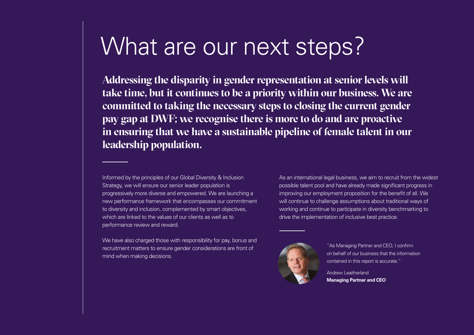### What are our next steps?

**Addressing the disparity in gender representation at senior levels will take time, but it continues to be a priority within our business. We are committed to taking the necessary steps to closing the current gender pay gap at DWF; we recognise there is more to do and are proactive in ensuring that we have a sustainable pipeline of female talent in our leadership population.**

Informed by the principles of our Global Diversity & Inclusion Strategy, we will ensure our senior leader population is progressively more diverse and empowered. We are launching a new performance framework that encompasses our commitment to diversity and inclusion, complemented by smart objectives, which are linked to the values of our clients as well as to performance review and reward.

We have also charged those with responsibility for pay, bonus and recruitment matters to ensure gender considerations are front of mind when making decisions.

As an international legal business, we aim to recruit from the widest possible talent pool and have already made significant progress in improving our employment proposition for the benefit of all. We will continue to challenge assumptions about traditional ways of working and continue to participate in diversity benchmarking to drive the implementation of inclusive best practice.



"As Managing Partner and CEO, I confirm on behalf of our business that the information contained in this report is accurate."

Andrew Leaitherland **Managing Partner and CEO**